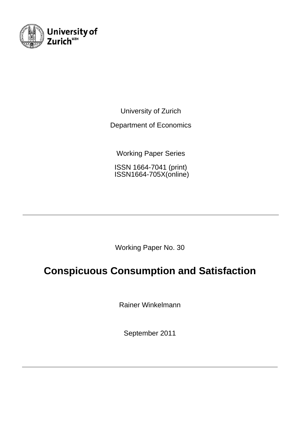

University of Zurich

Department of Economics

Working Paper Series

ISSN 1664-7041 (print) ISSN1664-705X(online)

Working Paper No. 30

# **Conspicuous Consumption and Satisfaction**

Rainer Winkelmann

September 2011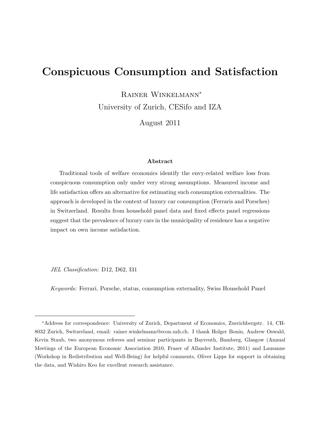## Conspicuous Consumption and Satisfaction

Rainer Winkelmann<sup>∗</sup>

University of Zurich, CESifo and IZA

August 2011

#### Abstract

Traditional tools of welfare economics identify the envy-related welfare loss from conspicuous consumption only under very strong assumptions. Measured income and life satisfaction offers an alternative for estimating such consumption externalities. The approach is developed in the context of luxury car consumption (Ferraris and Porsches) in Switzerland. Results from household panel data and fixed effects panel regressions suggest that the prevalence of luxury cars in the municipality of residence has a negative impact on own income satisfaction.

JEL Classification: D12, D62, I31

Keywords: Ferrari, Porsche, status, consumption externality, Swiss Household Panel

<sup>∗</sup>Address for correspondence: University of Zurich, Department of Economics, Zuerichbergstr. 14, CH-8032 Zurich, Switzerland, email: rainer.winkelmann@econ.uzh.ch. I thank Holger Bonin, Andrew Oswald, Kevin Staub, two anonymous referees and seminar participants in Bayreuth, Bamberg, Glasgow (Annual Meetings of the European Economic Association 2010, Fraser of Allander Institute, 2011) and Lausanne (Workshop in Redistribution and Well-Being) for helpful comments, Oliver Lipps for support in obtaining the data, and Wishiro Keo for excellent research assistance.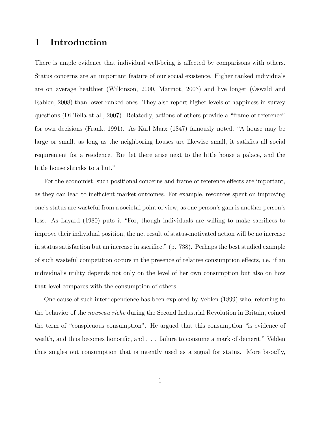### 1 Introduction

There is ample evidence that individual well-being is affected by comparisons with others. Status concerns are an important feature of our social existence. Higher ranked individuals are on average healthier (Wilkinson, 2000, Marmot, 2003) and live longer (Oswald and Rablen, 2008) than lower ranked ones. They also report higher levels of happiness in survey questions (Di Tella at al., 2007). Relatedly, actions of others provide a "frame of reference" for own decisions (Frank, 1991). As Karl Marx (1847) famously noted, "A house may be large or small; as long as the neighboring houses are likewise small, it satisfies all social requirement for a residence. But let there arise next to the little house a palace, and the little house shrinks to a hut."

For the economist, such positional concerns and frame of reference effects are important, as they can lead to inefficient market outcomes. For example, resources spent on improving one's status are wasteful from a societal point of view, as one person's gain is another person's loss. As Layard (1980) puts it "For, though individuals are willing to make sacrifices to improve their individual position, the net result of status-motivated action will be no increase in status satisfaction but an increase in sacrifice." (p. 738). Perhaps the best studied example of such wasteful competition occurs in the presence of relative consumption effects, i.e. if an individual's utility depends not only on the level of her own consumption but also on how that level compares with the consumption of others.

One cause of such interdependence has been explored by Veblen (1899) who, referring to the behavior of the *nouveau riche* during the Second Industrial Revolution in Britain, coined the term of "conspicuous consumption". He argued that this consumption "is evidence of wealth, and thus becomes honorific, and . . . failure to consume a mark of demerit." Veblen thus singles out consumption that is intently used as a signal for status. More broadly,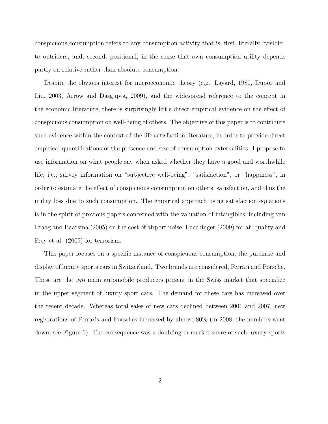conspicuous consumption refers to any consumption activity that is, first, literally "visible" to outsiders, and, second, positional, in the sense that own consumption utility depends partly on relative rather than absolute consumption.

Despite the obvious interest for microeconomic theory (e.g. Layard, 1980, Dupor and Liu, 2003, Arrow and Dasgupta, 2009), and the widespread reference to the concept in the economic literature, there is surprisingly little direct empirical evidence on the effect of conspicuous consumption on well-being of others. The objective of this paper is to contribute such evidence within the context of the life satisfaction literature, in order to provide direct empirical quantifications of the presence and size of consumption externalities. I propose to use information on what people say when asked whether they have a good and worthwhile life, i.e., survey information on "subjective well-being", "satisfaction", or "happiness", in order to estimate the effect of conspicuous consumption on others' satisfaction, and thus the utility loss due to such consumption. The empirical approach using satisfaction equations is in the spirit of previous papers concerned with the valuation of intangibles, including van Praag and Baarsma (2005) on the cost of airport noise, Luechinger (2009) for air quality and Frey et al. (2009) for terrorism.

This paper focuses on a specific instance of conspicuous consumption, the purchase and display of luxury sports cars in Switzerland. Two brands are considered, Ferrari and Porsche. These are the two main automobile producers present in the Swiss market that specialize in the upper segment of luxury sport cars. The demand for these cars has increased over the recent decade. Whereas total sales of new cars declined between 2001 and 2007, new registrations of Ferraris and Porsches increased by almost 80% (in 2008, the numbers went down, see Figure 1). The consequence was a doubling in market share of such luxury sports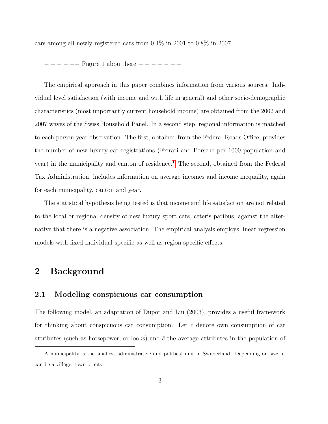cars among all newly registered cars from 0.4% in 2001 to 0.8% in 2007.

− − − − −− Figure 1 about here − − − − − − −

The empirical approach in this paper combines information from various sources. Individual level satisfaction (with income and with life in general) and other socio-demographic characteristics (most importantly current household income) are obtained from the 2002 and 2007 waves of the Swiss Household Panel. In a second step, regional information is matched to each person-year observation. The first, obtained from the Federal Roads Office, provides the number of new luxury car registrations (Ferrari and Porsche per 1000 population and year) in the municipality and canton of residence.<sup>[1](#page-4-0)</sup> The second, obtained from the Federal Tax Administration, includes information on average incomes and income inequality, again for each municipality, canton and year.

The statistical hypothesis being tested is that income and life satisfaction are not related to the local or regional density of new luxury sport cars, ceteris paribus, against the alternative that there is a negative association. The empirical analysis employs linear regression models with fixed individual specific as well as region specific effects.

### 2 Background

#### 2.1 Modeling conspicuous car consumption

The following model, an adaptation of Dupor and Liu (2003), provides a useful framework for thinking about conspicuous car consumption. Let c denote own consumption of car attributes (such as horsepower, or looks) and  $\bar{c}$  the average attributes in the population of

<span id="page-4-0"></span><sup>&</sup>lt;sup>1</sup>A municipality is the smallest administrative and political unit in Switzerland. Depending on size, it can be a village, town or city.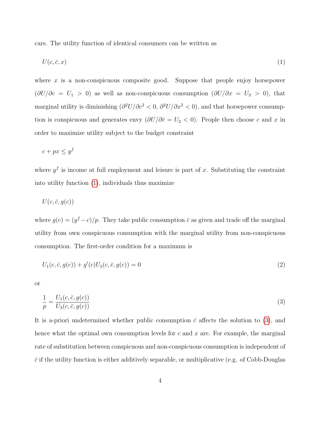cars. The utility function of identical consumers can be written as

<span id="page-5-0"></span>
$$
U(c, \bar{c}, x) \tag{1}
$$

where  $x$  is a non-conspicuous composite good. Suppose that people enjoy horsepower  $(\partial U/\partial c = U_1 > 0)$  as well as non-conspicuous consumption  $(\partial U/\partial x = U_3 > 0)$ , that marginal utility is diminishing  $\left(\frac{\partial^2 U}{\partial c^2} < 0, \frac{\partial^2 U}{\partial x^2} < 0\right)$ , and that horsepower consumption is conspicuous and generates envy  $(\partial U/\partial \bar{c} = U_2 < 0)$ . People then choose c and x in order to maximize utility subject to the budget constraint

$$
c + px \leq y^f
$$

where  $y<sup>f</sup>$  is income at full employment and leisure is part of x. Substituting the constraint into utility function [\(1\)](#page-5-0), individuals thus maximize

$$
U(c, \bar{c}, g(c))
$$

where  $g(c) = (y<sup>f</sup> - c)/p$ . They take public consumption  $\bar{c}$  as given and trade off the marginal utility from own conspicuous consumption with the marginal utility from non-conspicuous consumption. The first-order condition for a maximum is

$$
U_1(c, \bar{c}, g(c)) + g'(c)U_3(c, \bar{c}, g(c)) = 0
$$
\n(2)

or

<span id="page-5-1"></span>
$$
\frac{1}{p} = \frac{U_1(c, \bar{c}, g(c))}{U_3(c, \bar{c}, g(c))}
$$
\n
$$
\tag{3}
$$

It is a-priori undetermined whether public consumption  $\bar{c}$  affects the solution to [\(3\)](#page-5-1), and hence what the optimal own consumption levels for c and x are. For example, the marginal rate of substitution between conspicuous and non-conspicuous consumption is independent of  $\bar{c}$  if the utility function is either additively separable, or multiplicative (e.g. of Cobb-Douglas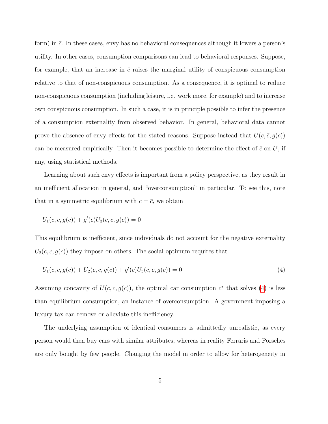form) in  $\bar{c}$ . In these cases, envy has no behavioral consequences although it lowers a person's utility. In other cases, consumption comparisons can lead to behavioral responses. Suppose, for example, that an increase in  $\bar{c}$  raises the marginal utility of conspicuous consumption relative to that of non-conspicuous consumption. As a consequence, it is optimal to reduce non-conspicuous consumption (including leisure, i.e. work more, for example) and to increase own conspicuous consumption. In such a case, it is in principle possible to infer the presence of a consumption externality from observed behavior. In general, behavioral data cannot prove the absence of envy effects for the stated reasons. Suppose instead that  $U(c, \bar{c}, g(c))$ can be measured empirically. Then it becomes possible to determine the effect of  $\bar{c}$  on U, if any, using statistical methods.

Learning about such envy effects is important from a policy perspective, as they result in an inefficient allocation in general, and "overconsumption" in particular. To see this, note that in a symmetric equilibrium with  $c = \bar{c}$ , we obtain

$$
U_1(c, c, g(c)) + g'(c)U_3(c, c, g(c)) = 0
$$

This equilibrium is inefficient, since individuals do not account for the negative externality  $U_2(c, c, g(c))$  they impose on others. The social optimum requires that

<span id="page-6-0"></span>
$$
U_1(c, c, g(c)) + U_2(c, c, g(c)) + g'(c)U_3(c, c, g(c)) = 0
$$
\n(4)

Assuming concavity of  $U(c, c, g(c))$ , the optimal car consumption  $c^*$  that solves [\(4\)](#page-6-0) is less than equilibrium consumption, an instance of overconsumption. A government imposing a luxury tax can remove or alleviate this inefficiency.

The underlying assumption of identical consumers is admittedly unrealistic, as every person would then buy cars with similar attributes, whereas in reality Ferraris and Porsches are only bought by few people. Changing the model in order to allow for heterogeneity in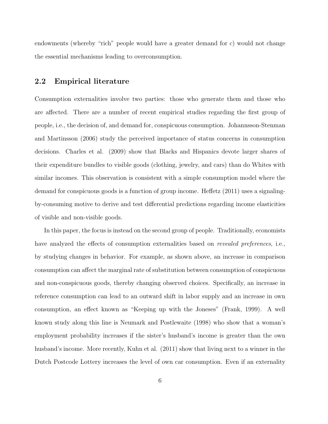endowments (whereby "rich" people would have a greater demand for  $c$ ) would not change the essential mechanisms leading to overconsumption.

#### 2.2 Empirical literature

Consumption externalities involve two parties: those who generate them and those who are affected. There are a number of recent empirical studies regarding the first group of people, i.e., the decision of, and demand for, conspicuous consumption. Johannsson-Stenman and Martinsson (2006) study the perceived importance of status concerns in consumption decisions. Charles et al. (2009) show that Blacks and Hispanics devote larger shares of their expenditure bundles to visible goods (clothing, jewelry, and cars) than do Whites with similar incomes. This observation is consistent with a simple consumption model where the demand for conspicuous goods is a function of group income. Heffetz (2011) uses a signalingby-consuming motive to derive and test differential predictions regarding income elasticities of visible and non-visible goods.

In this paper, the focus is instead on the second group of people. Traditionally, economists have analyzed the effects of consumption externalities based on *revealed preferences*, i.e., by studying changes in behavior. For example, as shown above, an increase in comparison consumption can affect the marginal rate of substitution between consumption of conspicuous and non-conspicuous goods, thereby changing observed choices. Specifically, an increase in reference consumption can lead to an outward shift in labor supply and an increase in own consumption, an effect known as "Keeping up with the Joneses" (Frank, 1999). A well known study along this line is Neumark and Postlewaite (1998) who show that a woman's employment probability increases if the sister's husband's income is greater than the own husband's income. More recently, Kuhn et al. (2011) show that living next to a winner in the Dutch Postcode Lottery increases the level of own car consumption. Even if an externality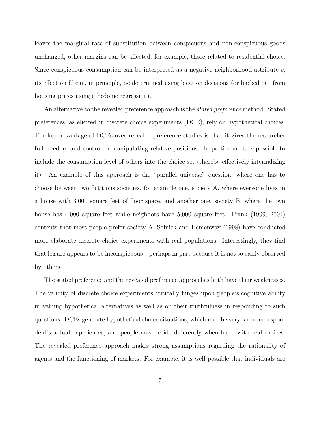leaves the marginal rate of substitution between conspicuous and non-conspicuous goods unchanged, other margins can be affected, for example, those related to residential choice. Since conspicuous consumption can be interpreted as a negative neighborhood attribute  $\bar{c}$ , its effect on U can, in principle, be determined using location decisions (or backed out from housing prices using a hedonic regression).

An alternative to the revealed preference approach is the *stated preference* method. Stated preferences, as elicited in discrete choice experiments (DCE), rely on hypothetical choices. The key advantage of DCEs over revealed preference studies is that it gives the researcher full freedom and control in manipulating relative positions. In particular, it is possible to include the consumption level of others into the choice set (thereby effectively internalizing it). An example of this approach is the "parallel universe" question, where one has to choose between two fictitious societies, for example one, society A, where everyone lives in a house with 3,000 square feet of floor space, and another one, society B, where the own house has 4,000 square feet while neighbors have 5,000 square feet. Frank (1999, 2004) contents that most people prefer society A. Solnick and Hemenway (1998) have conducted more elaborate discrete choice experiments with real populations. Interestingly, they find that leisure appears to be inconspicuous – perhaps in part because it is not so easily observed by others.

The stated preference and the revealed preference approaches both have their weaknesses. The validity of discrete choice experiments critically hinges upon people's cognitive ability in valuing hypothetical alternatives as well as on their truthfulness in responding to such questions. DCEs generate hypothetical choice situations, which may be very far from respondent's actual experiences, and people may decide differently when faced with real choices. The revealed preference approach makes strong assumptions regarding the rationality of agents and the functioning of markets. For example, it is well possible that individuals are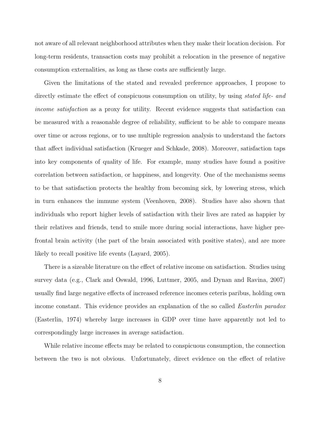not aware of all relevant neighborhood attributes when they make their location decision. For long-term residents, transaction costs may prohibit a relocation in the presence of negative consumption externalities, as long as these costs are sufficiently large.

Given the limitations of the stated and revealed preference approaches, I propose to directly estimate the effect of conspicuous consumption on utility, by using *stated life- and* income satisfaction as a proxy for utility. Recent evidence suggests that satisfaction can be measured with a reasonable degree of reliability, sufficient to be able to compare means over time or across regions, or to use multiple regression analysis to understand the factors that affect individual satisfaction (Krueger and Schkade, 2008). Moreover, satisfaction taps into key components of quality of life. For example, many studies have found a positive correlation between satisfaction, or happiness, and longevity. One of the mechanisms seems to be that satisfaction protects the healthy from becoming sick, by lowering stress, which in turn enhances the immune system (Veenhoven, 2008). Studies have also shown that individuals who report higher levels of satisfaction with their lives are rated as happier by their relatives and friends, tend to smile more during social interactions, have higher prefrontal brain activity (the part of the brain associated with positive states), and are more likely to recall positive life events (Layard, 2005).

There is a sizeable literature on the effect of relative income on satisfaction. Studies using survey data (e.g., Clark and Oswald, 1996, Luttmer, 2005, and Dynan and Ravina, 2007) usually find large negative effects of increased reference incomes ceteris paribus, holding own income constant. This evidence provides an explanation of the so called *Easterlin paradox* (Easterlin, 1974) whereby large increases in GDP over time have apparently not led to correspondingly large increases in average satisfaction.

While relative income effects may be related to conspicuous consumption, the connection between the two is not obvious. Unfortunately, direct evidence on the effect of relative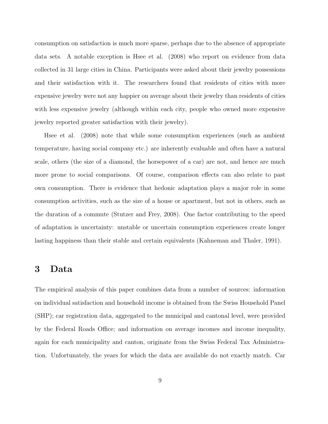consumption on satisfaction is much more sparse, perhaps due to the absence of appropriate data sets. A notable exception is Hsee et al. (2008) who report on evidence from data collected in 31 large cities in China. Participants were asked about their jewelry possessions and their satisfaction with it. The researchers found that residents of cities with more expensive jewelry were not any happier on average about their jewelry than residents of cities with less expensive jewelry (although within each city, people who owned more expensive jewelry reported greater satisfaction with their jewelry).

Hsee et al. (2008) note that while some consumption experiences (such as ambient temperature, having social company etc.) are inherently evaluable and often have a natural scale, others (the size of a diamond, the horsepower of a car) are not, and hence are much more prone to social comparisons. Of course, comparison effects can also relate to past own consumption. There is evidence that hedonic adaptation plays a major role in some consumption activities, such as the size of a house or apartment, but not in others, such as the duration of a commute (Stutzer and Frey, 2008). One factor contributing to the speed of adaptation is uncertainty: unstable or uncertain consumption experiences create longer lasting happiness than their stable and certain equivalents (Kahneman and Thaler, 1991).

### 3 Data

The empirical analysis of this paper combines data from a number of sources: information on individual satisfaction and household income is obtained from the Swiss Household Panel (SHP); car registration data, aggregated to the municipal and cantonal level, were provided by the Federal Roads Office; and information on average incomes and income inequality, again for each municipality and canton, originate from the Swiss Federal Tax Administration. Unfortunately, the years for which the data are available do not exactly match. Car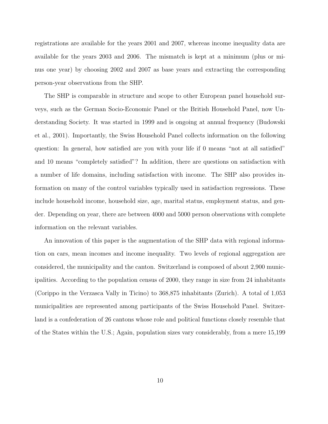registrations are available for the years 2001 and 2007, whereas income inequality data are available for the years 2003 and 2006. The mismatch is kept at a minimum (plus or minus one year) by choosing 2002 and 2007 as base years and extracting the corresponding person-year observations from the SHP.

The SHP is comparable in structure and scope to other European panel household surveys, such as the German Socio-Economic Panel or the British Household Panel, now Understanding Society. It was started in 1999 and is ongoing at annual frequency (Budowski et al., 2001). Importantly, the Swiss Household Panel collects information on the following question: In general, how satisfied are you with your life if 0 means "not at all satisfied" and 10 means "completely satisfied"? In addition, there are questions on satisfaction with a number of life domains, including satisfaction with income. The SHP also provides information on many of the control variables typically used in satisfaction regressions. These include household income, household size, age, marital status, employment status, and gender. Depending on year, there are between 4000 and 5000 person observations with complete information on the relevant variables.

An innovation of this paper is the augmentation of the SHP data with regional information on cars, mean incomes and income inequality. Two levels of regional aggregation are considered, the municipality and the canton. Switzerland is composed of about 2,900 municipalities. According to the population census of 2000, they range in size from 24 inhabitants (Corippo in the Verzasca Vally in Ticino) to 368,875 inhabitants (Zurich). A total of 1,053 municipalities are represented among participants of the Swiss Household Panel. Switzerland is a confederation of 26 cantons whose role and political functions closely resemble that of the States within the U.S.; Again, population sizes vary considerably, from a mere 15,199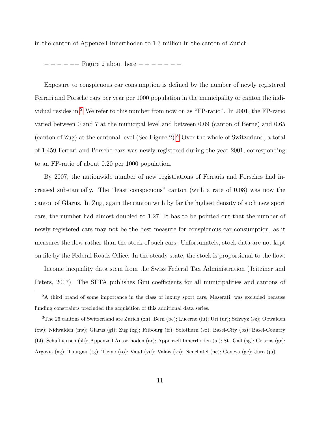in the canton of Appenzell Innerrhoden to 1.3 million in the canton of Zurich.

− − − − −− Figure 2 about here − − − − − − −

Exposure to conspicuous car consumption is defined by the number of newly registered Ferrari and Porsche cars per year per 1000 population in the municipality or canton the indi-vidual resides in.<sup>[2](#page-12-0)</sup> We refer to this number from now on as "FP-ratio". In 2001, the FP-ratio varied between 0 and 7 at the municipal level and between 0.09 (canton of Berne) and 0.65 (canton of Zug) at the cantonal level (See Figure 2).[3](#page-12-1) Over the whole of Switzerland, a total of 1,459 Ferrari and Porsche cars was newly registered during the year 2001, corresponding to an FP-ratio of about 0.20 per 1000 population.

By 2007, the nationwide number of new registrations of Ferraris and Porsches had increased substantially. The "least conspicuous" canton (with a rate of 0.08) was now the canton of Glarus. In Zug, again the canton with by far the highest density of such new sport cars, the number had almost doubled to 1.27. It has to be pointed out that the number of newly registered cars may not be the best measure for conspicuous car consumption, as it measures the flow rather than the stock of such cars. Unfortunately, stock data are not kept on file by the Federal Roads Office. In the steady state, the stock is proportional to the flow.

Income inequality data stem from the Swiss Federal Tax Administration (Jeitziner and Peters, 2007). The SFTA publishes Gini coefficients for all municipalities and cantons of

<span id="page-12-1"></span><sup>3</sup>The 26 cantons of Switzerland are Zurich (zh); Bern (be); Lucerne (lu); Uri (ur); Schwyz (sz); Obwalden (ow); Nidwalden (nw); Glarus (gl); Zug (zg); Fribourg (fr); Solothurn (so); Basel-City (bs); Basel-Country (bl); Schaffhausen (sh); Appenzell Ausserhoden (ar); Appenzell Innerrhoden (ai); St. Gall (sg); Grisons (gr); Argovia (ag); Thurgau (tg); Ticino (to); Vaud (vd); Valais (vs); Neuchatel (ne); Geneva (ge); Jura (ju).

<span id="page-12-0"></span><sup>&</sup>lt;sup>2</sup>A third brand of some importance in the class of luxury sport cars, Maserati, was excluded because funding constraints precluded the acquisition of this additional data series.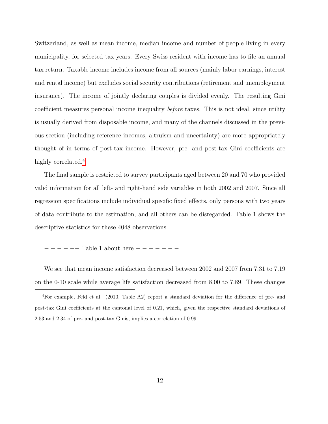Switzerland, as well as mean income, median income and number of people living in every municipality, for selected tax years. Every Swiss resident with income has to file an annual tax return. Taxable income includes income from all sources (mainly labor earnings, interest and rental income) but excludes social security contributions (retirement and unemployment insurance). The income of jointly declaring couples is divided evenly. The resulting Gini coefficient measures personal income inequality *before* taxes. This is not ideal, since utility is usually derived from disposable income, and many of the channels discussed in the previous section (including reference incomes, altruism and uncertainty) are more appropriately thought of in terms of post-tax income. However, pre- and post-tax Gini coefficients are highly correlated.<sup>[4](#page-13-0)</sup>

The final sample is restricted to survey participants aged between 20 and 70 who provided valid information for all left- and right-hand side variables in both 2002 and 2007. Since all regression specifications include individual specific fixed effects, only persons with two years of data contribute to the estimation, and all others can be disregarded. Table 1 shows the descriptive statistics for these 4048 observations.

− − − − −− Table 1 about here − − − − − − −

We see that mean income satisfaction decreased between 2002 and 2007 from 7.31 to 7.19 on the 0-10 scale while average life satisfaction decreased from 8.00 to 7.89. These changes

<span id="page-13-0"></span><sup>4</sup>For example, Feld et al. (2010, Table A2) report a standard deviation for the difference of pre- and post-tax Gini coefficients at the cantonal level of 0.21, which, given the respective standard deviations of 2.53 and 2.34 of pre- and post-tax Ginis, implies a correlation of 0.99.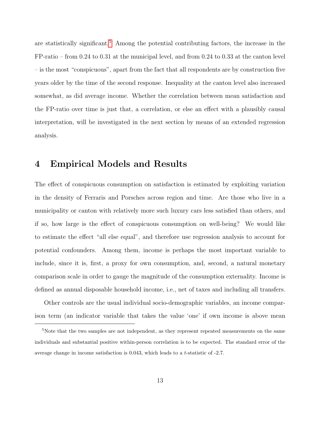are statistically significant.<sup>[5](#page-14-0)</sup> Among the potential contributing factors, the increase in the FP-ratio – from 0.24 to 0.31 at the municipal level, and from 0.24 to 0.33 at the canton level – is the most "conspicuous", apart from the fact that all respondents are by construction five years older by the time of the second response. Inequality at the canton level also increased somewhat, as did average income. Whether the correlation between mean satisfaction and the FP-ratio over time is just that, a correlation, or else an effect with a plausibly causal interpretation, will be investigated in the next section by means of an extended regression analysis.

### 4 Empirical Models and Results

The effect of conspicuous consumption on satisfaction is estimated by exploiting variation in the density of Ferraris and Porsches across region and time. Are those who live in a municipality or canton with relatively more such luxury cars less satisfied than others, and if so, how large is the effect of conspicuous consumption on well-being? We would like to estimate the effect "all else equal", and therefore use regression analysis to account for potential confounders. Among them, income is perhaps the most important variable to include, since it is, first, a proxy for own consumption, and, second, a natural monetary comparison scale in order to gauge the magnitude of the consumption externality. Income is defined as annual disposable household income, i.e., net of taxes and including all transfers.

Other controls are the usual individual socio-demographic variables, an income comparison term (an indicator variable that takes the value 'one' if own income is above mean

<span id="page-14-0"></span><sup>&</sup>lt;sup>5</sup>Note that the two samples are not independent, as they represent repeated measurements on the same individuals and substantial positive within-person correlation is to be expected. The standard error of the average change in income satisfaction is 0.043, which leads to a t-statistic of -2.7.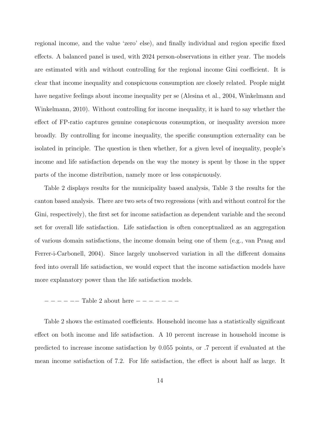regional income, and the value 'zero' else), and finally individual and region specific fixed effects. A balanced panel is used, with 2024 person-observations in either year. The models are estimated with and without controlling for the regional income Gini coefficient. It is clear that income inequality and conspicuous consumption are closely related. People might have negative feelings about income inequality per se (Alesina et al., 2004, Winkelmann and Winkelmann, 2010). Without controlling for income inequality, it is hard to say whether the effect of FP-ratio captures genuine conspicuous consumption, or inequality aversion more broadly. By controlling for income inequality, the specific consumption externality can be isolated in principle. The question is then whether, for a given level of inequality, people's income and life satisfaction depends on the way the money is spent by those in the upper parts of the income distribution, namely more or less conspicuously.

Table 2 displays results for the municipality based analysis, Table 3 the results for the canton based analysis. There are two sets of two regressions (with and without control for the Gini, respectively), the first set for income satisfaction as dependent variable and the second set for overall life satisfaction. Life satisfaction is often conceptualized as an aggregation of various domain satisfactions, the income domain being one of them (e.g., van Praag and Ferrer-i-Carbonell, 2004). Since largely unobserved variation in all the different domains feed into overall life satisfaction, we would expect that the income satisfaction models have more explanatory power than the life satisfaction models.

Table 2 shows the estimated coefficients. Household income has a statistically significant effect on both income and life satisfaction. A 10 percent increase in household income is predicted to increase income satisfaction by 0.055 points, or .7 percent if evaluated at the mean income satisfaction of 7.2. For life satisfaction, the effect is about half as large. It

<sup>− − − − −−</sup> Table 2 about here − − − − − − −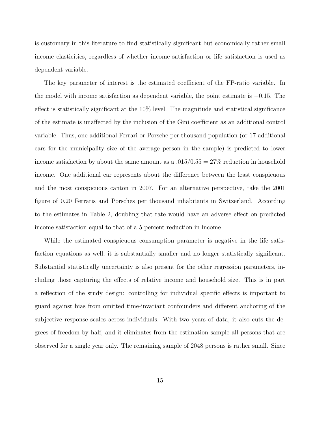is customary in this literature to find statistically significant but economically rather small income elasticities, regardless of whether income satisfaction or life satisfaction is used as dependent variable.

The key parameter of interest is the estimated coefficient of the FP-ratio variable. In the model with income satisfaction as dependent variable, the point estimate is −0.15. The effect is statistically significant at the  $10\%$  level. The magnitude and statistical significance of the estimate is unaffected by the inclusion of the Gini coefficient as an additional control variable. Thus, one additional Ferrari or Porsche per thousand population (or 17 additional cars for the municipality size of the average person in the sample) is predicted to lower income satisfaction by about the same amount as a  $.015/0.55 = 27\%$  reduction in household income. One additional car represents about the difference between the least conspicuous and the most conspicuous canton in 2007. For an alternative perspective, take the 2001 figure of 0.20 Ferraris and Porsches per thousand inhabitants in Switzerland. According to the estimates in Table 2, doubling that rate would have an adverse effect on predicted income satisfaction equal to that of a 5 percent reduction in income.

While the estimated conspicuous consumption parameter is negative in the life satisfaction equations as well, it is substantially smaller and no longer statistically significant. Substantial statistically uncertainty is also present for the other regression parameters, including those capturing the effects of relative income and household size. This is in part a reflection of the study design: controlling for individual specific effects is important to guard against bias from omitted time-invariant confounders and different anchoring of the subjective response scales across individuals. With two years of data, it also cuts the degrees of freedom by half, and it eliminates from the estimation sample all persons that are observed for a single year only. The remaining sample of 2048 persons is rather small. Since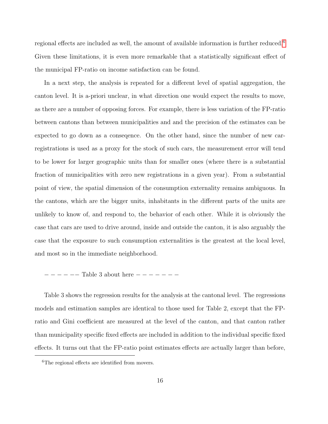regional effects are included as well, the amount of available information is further reduced.[6](#page-17-0) Given these limitations, it is even more remarkable that a statistically significant effect of the municipal FP-ratio on income satisfaction can be found.

In a next step, the analysis is repeated for a different level of spatial aggregation, the canton level. It is a-priori unclear, in what direction one would expect the results to move, as there are a number of opposing forces. For example, there is less variation of the FP-ratio between cantons than between municipalities and and the precision of the estimates can be expected to go down as a conseqence. On the other hand, since the number of new carregistrations is used as a proxy for the stock of such cars, the measurement error will tend to be lower for larger geographic units than for smaller ones (where there is a substantial fraction of municipalities with zero new registrations in a given year). From a substantial point of view, the spatial dimension of the consumption externality remains ambiguous. In the cantons, which are the bigger units, inhabitants in the different parts of the units are unlikely to know of, and respond to, the behavior of each other. While it is obviously the case that cars are used to drive around, inside and outside the canton, it is also arguably the case that the exposure to such consumption externalities is the greatest at the local level, and most so in the immediate neighborhood.

#### − − − − −− Table 3 about here − − − − − − −

Table 3 shows the regression results for the analysis at the cantonal level. The regressions models and estimation samples are identical to those used for Table 2, except that the FPratio and Gini coefficient are measured at the level of the canton, and that canton rather than municipality specific fixed effects are included in addition to the individual specific fixed effects. It turns out that the FP-ratio point estimates effects are actually larger than before,

<span id="page-17-0"></span><sup>6</sup>The regional effects are identified from movers.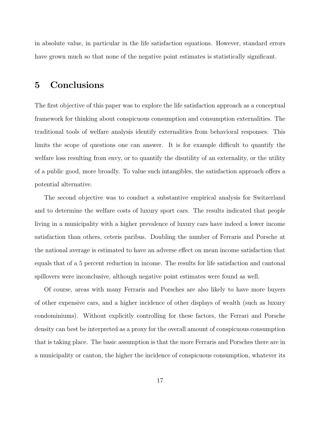in absolute value, in particular in the life satisfaction equations. However, standard errors have grown much so that none of the negative point estimates is statistically significant.

### 5 Conclusions

The first objective of this paper was to explore the life satisfaction approach as a conceptual framework for thinking about conspicuous consumption and consumption externalities. The traditional tools of welfare analysis identify externalities from behavioral responses. This limits the scope of questions one can answer. It is for example difficult to quantify the welfare loss resulting from envy, or to quantify the disutility of an externality, or the utility of a public good, more broadly. To value such intangibles, the satisfaction approach offers a potential alternative.

The second objective was to conduct a substantive empirical analysis for Switzerland and to determine the welfare costs of luxury sport cars. The results indicated that people living in a municipality with a higher prevalence of luxury cars have indeed a lower income satisfaction than others, ceteris paribus. Doubling the number of Ferraris and Porsche at the national average is estimated to have an adverse effect on mean income satisfaction that equals that of a 5 percent reduction in income. The results for life satisfaction and cantonal spillovers were inconclusive, although negative point estimates were found as well.

Of course, areas with many Ferraris and Porsches are also likely to have more buyers of other expensive cars, and a higher incidence of other displays of wealth (such as luxury condominiums). Without explicitly controlling for these factors, the Ferrari and Porsche density can best be interpreted as a proxy for the overall amount of conspicuous consumption that is taking place. The basic assumption is that the more Ferraris and Porsches there are in a municipality or canton, the higher the incidence of conspicuous consumption, whatever its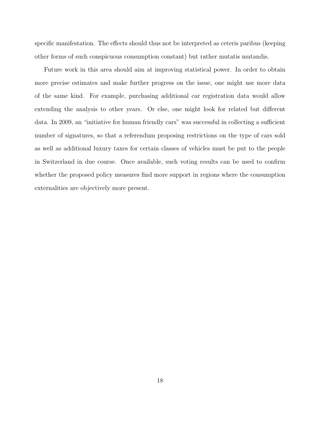specific manifestation. The effects should thus not be interpreted as ceteris paribus (keeping other forms of such conspicuous consumption constant) but rather mutatis mutandis.

Future work in this area should aim at improving statistical power. In order to obtain more precise estimates and make further progress on the issue, one might use more data of the same kind. For example, purchasing additional car registration data would allow extending the analysis to other years. Or else, one might look for related but different data. In 2009, an "initiative for human friendly cars" was successful in collecting a sufficient number of signatures, so that a referendum proposing restrictions on the type of cars sold as well as additional luxury taxes for certain classes of vehicles must be put to the people in Switzerland in due course. Once available, such voting results can be used to confirm whether the proposed policy measures find more support in regions where the consumption externalities are objectively more present.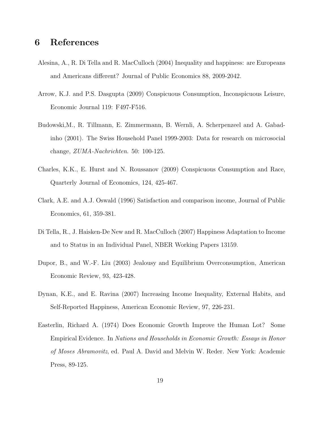### 6 References

- Alesina, A., R. Di Tella and R. MacCulloch (2004) Inequality and happiness: are Europeans and Americans different? Journal of Public Economics 88, 2009-2042.
- Arrow, K.J. and P.S. Dasgupta (2009) Conspicuous Consumption, Inconspicuous Leisure, Economic Journal 119: F497-F516.
- Budowski,M., R. Tillmann, E. Zimmermann, B. Wernli, A. Scherpenzeel and A. Gabadinho (2001). The Swiss Household Panel 1999-2003: Data for research on microsocial change, ZUMA-Nachrichten. 50: 100-125.
- Charles, K.K., E. Hurst and N. Roussanov (2009) Conspicuous Consumption and Race, Quarterly Journal of Economics, 124, 425-467.
- Clark, A.E. and A.J. Oswald (1996) Satisfaction and comparison income, Journal of Public Economics, 61, 359-381.
- Di Tella, R., J. Haisken-De New and R. MacCulloch (2007) Happiness Adaptation to Income and to Status in an Individual Panel, NBER Working Papers 13159.
- Dupor, B., and W.-F. Liu (2003) Jealousy and Equilibrium Overconsumption, American Economic Review, 93, 423-428.
- Dynan, K.E., and E. Ravina (2007) Increasing Income Inequality, External Habits, and Self-Reported Happiness, American Economic Review, 97, 226-231.
- Easterlin, Richard A. (1974) Does Economic Growth Improve the Human Lot? Some Empirical Evidence. In Nations and Households in Economic Growth: Essays in Honor of Moses Abramovitz, ed. Paul A. David and Melvin W. Reder. New York: Academic Press, 89-125.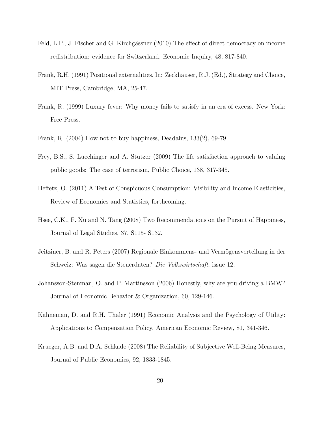- Feld, L.P., J. Fischer and G. Kirchgässner (2010) The effect of direct democracy on income redistribution: evidence for Switzerland, Economic Inquiry, 48, 817-840.
- Frank, R.H. (1991) Positional externalities, In: Zeckhauser, R.J. (Ed.), Strategy and Choice, MIT Press, Cambridge, MA, 25-47.
- Frank, R. (1999) Luxury fever: Why money fails to satisfy in an era of excess. New York: Free Press.
- Frank, R. (2004) How not to buy happiness, Deadalus, 133(2), 69-79.
- Frey, B.S., S. Luechinger and A. Stutzer (2009) The life satisfaction approach to valuing public goods: The case of terrorism, Public Choice, 138, 317-345.
- Heffetz, O. (2011) A Test of Conspicuous Consumption: Visibility and Income Elasticities, Review of Economics and Statistics, forthcoming.
- Hsee, C.K., F. Xu and N. Tang (2008) Two Recommendations on the Pursuit of Happiness, Journal of Legal Studies, 37, S115- S132.
- Jeitziner, B. and R. Peters (2007) Regionale Einkommens- und Vermögensverteilung in der Schweiz: Was sagen die Steuerdaten? Die Volkswirtschaft, issue 12.
- Johansson-Stenman, O. and P. Martinsson (2006) Honestly, why are you driving a BMW? Journal of Economic Behavior & Organization, 60, 129-146.
- Kahneman, D. and R.H. Thaler (1991) Economic Analysis and the Psychology of Utility: Applications to Compensation Policy, American Economic Review, 81, 341-346.
- Krueger, A.B. and D.A. Schkade (2008) The Reliability of Subjective Well-Being Measures, Journal of Public Economics, 92, 1833-1845.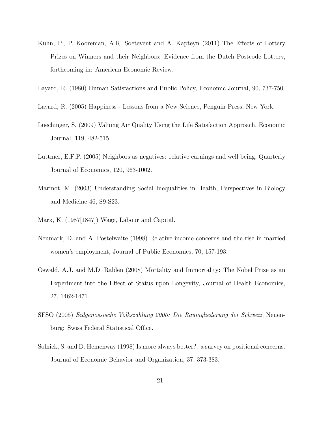- Kuhn, P., P. Kooreman, A.R. Soetevent and A. Kapteyn (2011) The Effects of Lottery Prizes on Winners and their Neighbors: Evidence from the Dutch Postcode Lottery, forthcoming in: American Economic Review.
- Layard, R. (1980) Human Satisfactions and Public Policy, Economic Journal, 90, 737-750.
- Layard, R. (2005) Happiness Lessons from a New Science, Penguin Press, New York.
- Luechinger, S. (2009) Valuing Air Quality Using the Life Satisfaction Approach, Economic Journal, 119, 482-515.
- Luttmer, E.F.P. (2005) Neighbors as negatives: relative earnings and well being, Quarterly Journal of Economics, 120, 963-1002.
- Marmot, M. (2003) Understanding Social Inequalities in Health, Perspectives in Biology and Medicine 46, S9-S23.
- Marx, K. (1987[1847]) Wage, Labour and Capital.
- Neumark, D. and A. Postelwaite (1998) Relative income concerns and the rise in married women's employment, Journal of Public Economics, 70, 157-193.
- Oswald, A.J. and M.D. Rablen (2008) Mortality and Immortality: The Nobel Prize as an Experiment into the Effect of Status upon Longevity, Journal of Health Economics, 27, 1462-1471.
- SFSO (2005) Eidgenössische Volkszählung 2000: Die Raumgliederung der Schweiz, Neuenburg: Swiss Federal Statistical Office.
- Solnick, S. and D. Hemenway (1998) Is more always better?: a survey on positional concerns. Journal of Economic Behavior and Organization, 37, 373-383.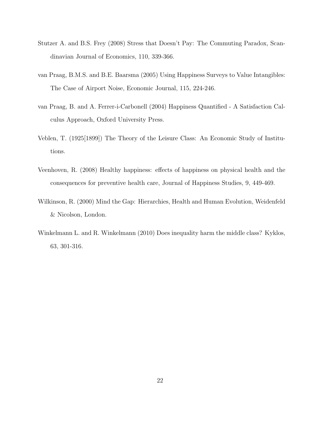- Stutzer A. and B.S. Frey (2008) Stress that Doesn't Pay: The Commuting Paradox, Scandinavian Journal of Economics, 110, 339-366.
- van Praag, B.M.S. and B.E. Baarsma (2005) Using Happiness Surveys to Value Intangibles: The Case of Airport Noise, Economic Journal, 115, 224-246.
- van Praag, B. and A. Ferrer-i-Carbonell (2004) Happiness Quantified A Satisfaction Calculus Approach, Oxford University Press.
- Veblen, T. (1925[1899]) The Theory of the Leisure Class: An Economic Study of Institutions.
- Veenhoven, R. (2008) Healthy happiness: effects of happiness on physical health and the consequences for preventive health care, Journal of Happiness Studies, 9, 449-469.
- Wilkinson, R. (2000) Mind the Gap: Hierarchies, Health and Human Evolution, Weidenfeld & Nicolson, London.
- Winkelmann L. and R. Winkelmann (2010) Does inequality harm the middle class? Kyklos, 63, 301-316.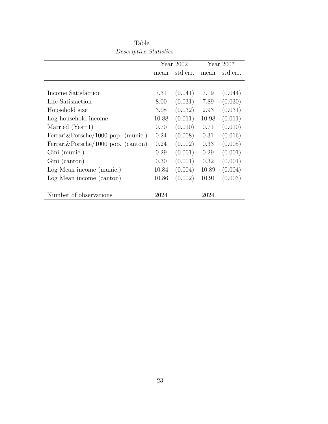|                                        | Year $2002$ |          | Year $2007$ |          |
|----------------------------------------|-------------|----------|-------------|----------|
|                                        | mean        | std.err. | mean        | std.err. |
| Income Satisfaction                    | 7.31        | (0.041)  | 7.19        | (0.044)  |
| Life Satisfaction                      | 8.00        | (0.031)  | 7.89        | (0.030)  |
| Household size                         | 3.08        | (0.032)  | 2.93        | (0.031)  |
| Log household income                   | 10.88       | (0.011)  | 10.98       | (0.011)  |
| Married $(Yes=1)$                      | 0.70        | (0.010)  | 0.71        | (0.010)  |
| Ferrari&Porsche/1000 pop. (munic.)     | 0.24        | (0.008)  | 0.31        | (0.016)  |
| Ferrari $&$ Porsche/1000 pop. (canton) | 0.24        | (0.002)  | 0.33        | (0.005)  |
| Gini (munic.)                          | 0.29        | (0.001)  | 0.29        | (0.001)  |
| Gini (canton)                          | 0.30        | (0.001)  | 0.32        | (0.001)  |
| Log Mean income (munic.)               | 10.84       | (0.004)  | 10.89       | (0.004)  |
| Log Mean income (canton)               | 10.86       | (0.002)  | 10.91       | (0.003)  |
| Number of observations                 | 2024        |          | 2024        |          |

Table 1 Descriptive Statistics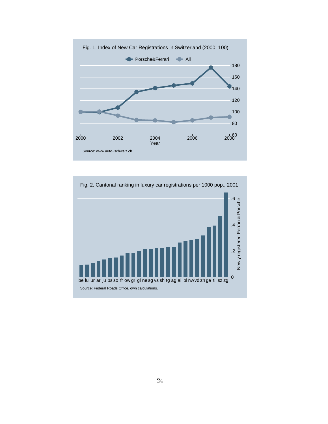

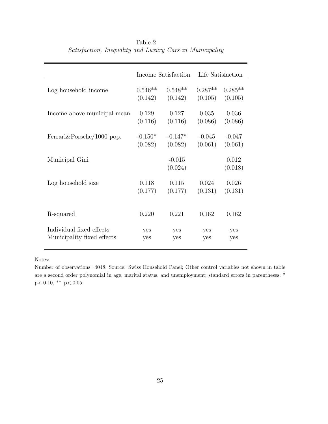|                             |           | Income Satisfaction |           | Life Satisfaction |
|-----------------------------|-----------|---------------------|-----------|-------------------|
| Log household income        | $0.546**$ | $0.548**$           | $0.287**$ | $0.285**$         |
|                             | (0.142)   | (0.142)             | (0.105)   | (0.105)           |
| Income above municipal mean | 0.129     | 0.127               | 0.035     | 0.036             |
|                             | (0.116)   | (0.116)             | (0.086)   | (0.086)           |
| Ferrari & Porsche/1000 pop. | $-0.150*$ | $-0.147*$           | $-0.045$  | $-0.047$          |
|                             | (0.082)   | (0.082)             | (0.061)   | (0.061)           |
| Municipal Gini              |           | $-0.015$<br>(0.024) |           | 0.012<br>(0.018)  |
| Log household size          | 0.118     | 0.115               | 0.024     | 0.026             |
|                             | (0.177)   | (0.177)             | (0.131)   | (0.131)           |
| R-squared                   | 0.220     | 0.221               | 0.162     | 0.162             |
| Individual fixed effects    | yes       | yes                 | yes       | yes               |
| Municipality fixed effects  | yes       | yes                 | yes       | yes               |

Table 2 Satisfaction, Inequality and Luxury Cars in Municipality

Notes:

Number of observations: 4048; Source: Swiss Household Panel; Other control variables not shown in table are a second order polynomial in age, marital status, and unemployment; standard errors in parentheses; \*  $\rm{p}<0.10,$   $^{**}$   $\rm{p}<0.05$